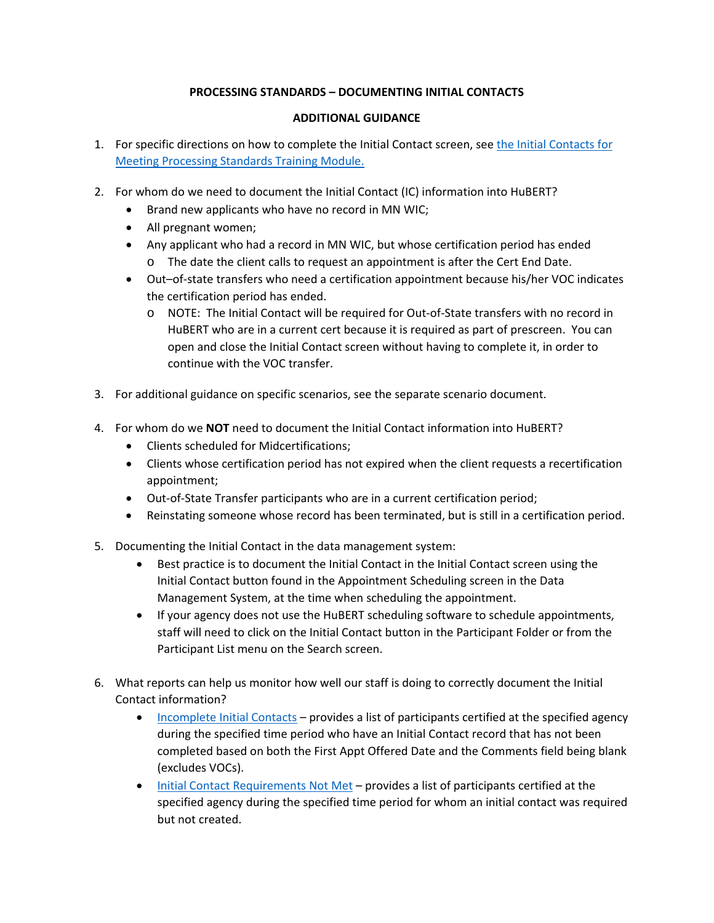## **PROCESSING STANDARDS – DOCUMENTING INITIAL CONTACTS**

## **ADDITIONAL GUIDANCE**

- 1. For specific directions on how to complete the Initial Contact screen, see the Initial Contacts for [Meeting Processing Standards](http://www.health.state.mn.us/people/wic/localagency/infosystem/hubert/training/ic/index.html) Training Module.
- 2. For whom do we need to document the Initial Contact (IC) information into HuBERT?
	- Brand new applicants who have no record in MN WIC;
	- All pregnant women;
	- Any applicant who had a record in MN WIC, but whose certification period has ended
		- o The date the client calls to request an appointment is after the Cert End Date.
	- Out–of-state transfers who need a certification appointment because his/her VOC indicates the certification period has ended.
		- o NOTE: The Initial Contact will be required for Out-of-State transfers with no record in HuBERT who are in a current cert because it is required as part of prescreen. You can open and close the Initial Contact screen without having to complete it, in order to continue with the VOC transfer.
- 3. For additional guidance on specific scenarios, see the separate scenario document.
- 4. For whom do we **NOT** need to document the Initial Contact information into HuBERT?
	- Clients scheduled for Midcertifications;
	- Clients whose certification period has not expired when the client requests a recertification appointment;
	- Out-of-State Transfer participants who are in a current certification period;
	- Reinstating someone whose record has been terminated, but is still in a certification period.
- 5. Documenting the Initial Contact in the data management system:
	- Best practice is to document the Initial Contact in the Initial Contact screen using the Initial Contact button found in the Appointment Scheduling screen in the Data Management System, at the time when scheduling the appointment.
	- If your agency does not use the HuBERT scheduling software to schedule appointments, staff will need to click on the Initial Contact button in the Participant Folder or from the Participant List menu on the Search screen.
- 6. What reports can help us monitor how well our staff is doing to correctly document the Initial Contact information?
	- [Incomplete Initial Contacts](http://www.health.state.mn.us/people/wic/localagency/infosystem/hubert/training/ic/index.html)  provides a list of participants certified at the specified agency during the specified time period who have an Initial Contact record that has not been completed based on both the First Appt Offered Date and the Comments field being blank (excludes VOCs).
	- [Initial Contact Requirements Not Met](http://www.health.state.mn.us/docs/people/wic/localagency/reports/infoview/ic/notmet.pdf)  provides a list of participants certified at the specified agency during the specified time period for whom an initial contact was required but not created.